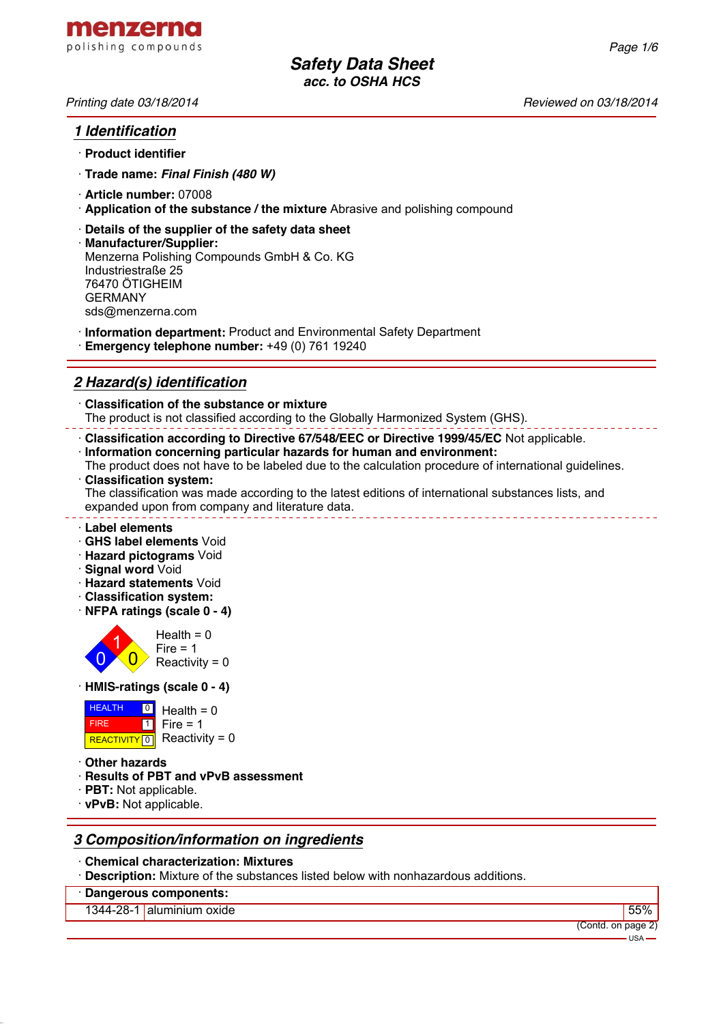

## *1 Identification*

- · **Product identifier**
- · **Trade name:** *Final Finish (480 W)*
- · **Article number:** 07008
- · **Application of the substance / the mixture** Abrasive and polishing compound
- · **Details of the supplier of the safety data sheet**
- · **Manufacturer/Supplier:** Menzerna Polishing Compounds GmbH & Co. KG Industriestraße 25 76470 ÖTIGHEIM GERMANY sds@menzerna.com
- · **Information department:** Product and Environmental Safety Department
- · **Emergency telephone number:** +49 (0) 761 19240

# *2 Hazard(s) identification*

· **Classification of the substance or mixture** The product is not classified according to the Globally Harmonized System (GHS).

· **Classification according to Directive 67/548/EEC or Directive 1999/45/EC** Not applicable.

- · **Information concerning particular hazards for human and environment:**
- The product does not have to be labeled due to the calculation procedure of international guidelines. · **Classification system:**

The classification was made according to the latest editions of international substances lists, and expanded upon from company and literature data.

- · **Label elements**
- · **GHS label elements** Void
- · **Hazard pictograms** Void
- · **Signal word** Void
- · **Hazard statements** Void
- · **Classification system:**
- · **NFPA ratings (scale 0 4)**



· **HMIS-ratings (scale 0 - 4)**

| <b>HEALTH</b> | $\boxed{0}$ Health = 0      |
|---------------|-----------------------------|
| <b>FIRE</b>   | $1$ Fire = 1                |
|               | REACTIVITY 0 Reactivity = 0 |

- · **Other hazards**
- · **Results of PBT and vPvB assessment**
- · **PBT:** Not applicable.
- · **vPvB:** Not applicable.

## *3 Composition/information on ingredients*

- · **Chemical characterization: Mixtures**
- **Description:** Mixture of the substances listed below with nonhazardous additions.
- · **Dangerous components:**

1344-28-1 aluminium oxide

|     | 70      |
|-----|---------|
| nnm | on naga |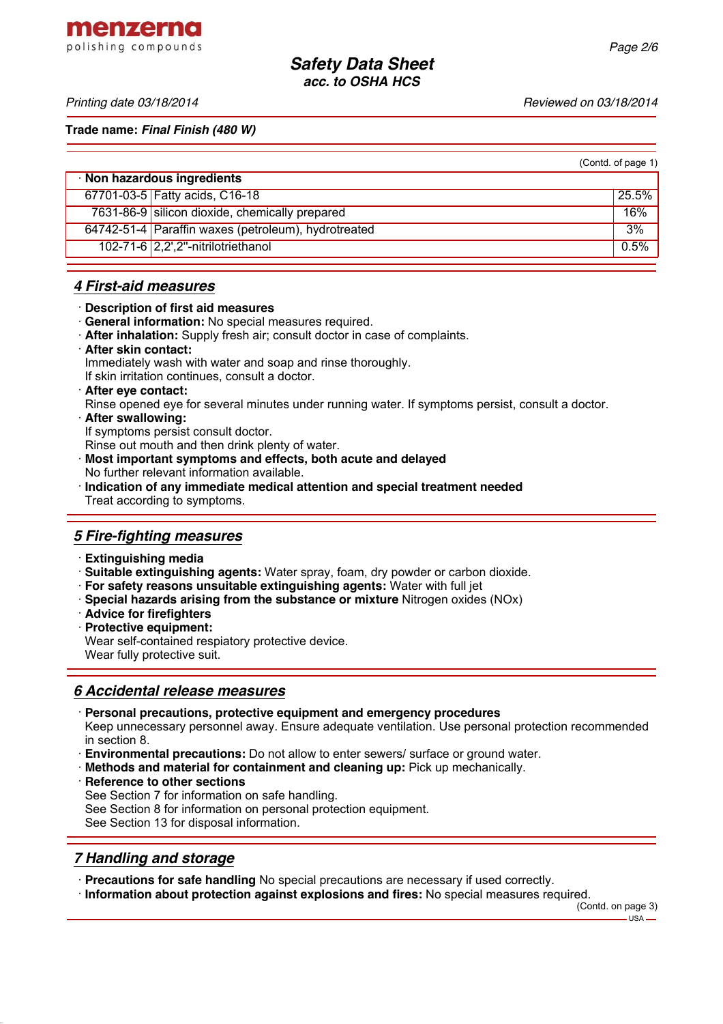menzerna polishing compounds

*Printing date 03/18/2014 Reviewed on 03/18/2014*

**Trade name:** *Final Finish (480 W)*

| (Contd. of page 1) |  |  |  |
|--------------------|--|--|--|
|--------------------|--|--|--|

| · Non hazardous ingredients                         |       |  |
|-----------------------------------------------------|-------|--|
| 67701-03-5 Fatty acids, C16-18                      | 25.5% |  |
| 7631-86-9 silicon dioxide, chemically prepared      | 16%   |  |
| 64742-51-4 Paraffin waxes (petroleum), hydrotreated | 3%    |  |
| 102-71-6 2,2',2"-nitrilotriethanol                  | 0.5%  |  |

### *4 First-aid measures*

- · **Description of first aid measures**
- · **General information:** No special measures required.
- · **After inhalation:** Supply fresh air; consult doctor in case of complaints.
- · **After skin contact:**

Immediately wash with water and soap and rinse thoroughly.

If skin irritation continues, consult a doctor.

· **After eye contact:**

Rinse opened eye for several minutes under running water. If symptoms persist, consult a doctor.

· **After swallowing:**

If symptoms persist consult doctor.

Rinse out mouth and then drink plenty of water.

- · **Most important symptoms and effects, both acute and delayed**
- No further relevant information available.
- · **Indication of any immediate medical attention and special treatment needed** Treat according to symptoms.

## *5 Fire-fighting measures*

- · **Extinguishing media**
- · **Suitable extinguishing agents:** Water spray, foam, dry powder or carbon dioxide.
- · **For safety reasons unsuitable extinguishing agents:** Water with full jet
- · **Special hazards arising from the substance or mixture** Nitrogen oxides (NOx)
- · **Advice for firefighters**
- · **Protective equipment:**

Wear self-contained respiatory protective device. Wear fully protective suit.

### *6 Accidental release measures*

· **Personal precautions, protective equipment and emergency procedures**

Keep unnecessary personnel away. Ensure adequate ventilation. Use personal protection recommended in section 8.

- · **Environmental precautions:** Do not allow to enter sewers/ surface or ground water.
- · **Methods and material for containment and cleaning up:** Pick up mechanically.

**Reference to other sections** 

- See Section 7 for information on safe handling.
- See Section 8 for information on personal protection equipment.

See Section 13 for disposal information.

## *7 Handling and storage*

- · **Precautions for safe handling** No special precautions are necessary if used correctly.
- · **Information about protection against explosions and fires:** No special measures required.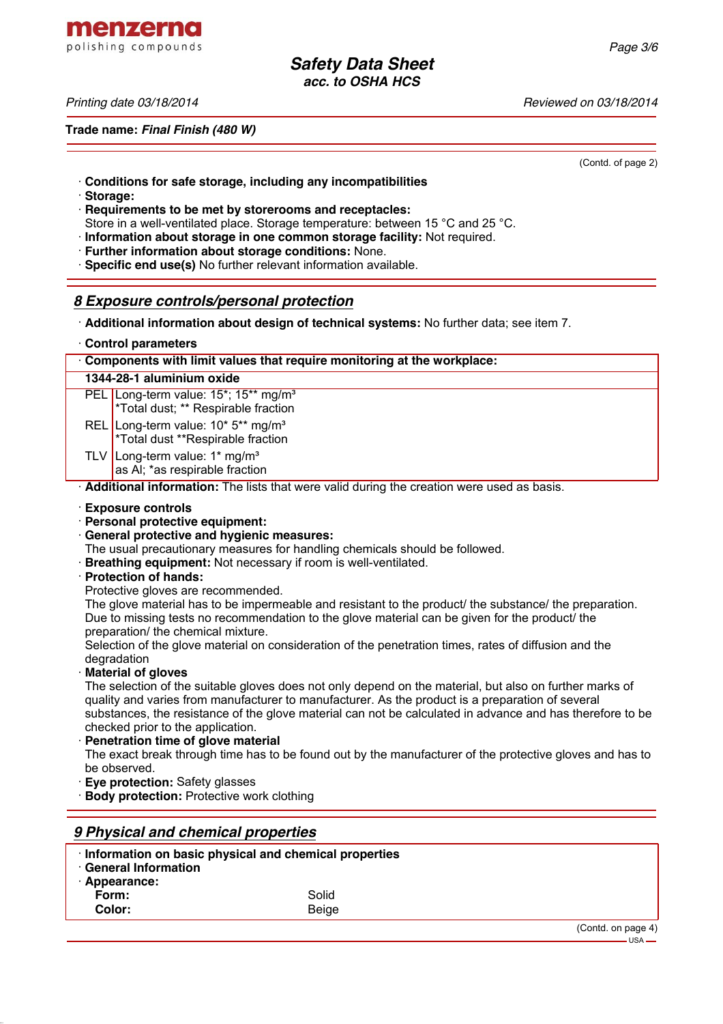menzerna polishing compounds

*Printing date 03/18/2014 Reviewed on 03/18/2014*

**Trade name:** *Final Finish (480 W)*

(Contd. of page 2)

- · **Conditions for safe storage, including any incompatibilities**
- · **Storage:**
- · **Requirements to be met by storerooms and receptacles:** Store in a well-ventilated place. Storage temperature: between 15 °C and 25 °C.
- · **Information about storage in one common storage facility:** Not required.
- **Further information about storage conditions: None.**
- · **Specific end use(s)** No further relevant information available.

### *8 Exposure controls/personal protection*

- · **Additional information about design of technical systems:** No further data; see item 7.
- · **Control parameters**

| Components with limit values that require monitoring at the workplace:                           |  |
|--------------------------------------------------------------------------------------------------|--|
| 1344-28-1 aluminium oxide                                                                        |  |
| PEL Long-term value: $15^*$ ; $15^{**}$ mg/m <sup>3</sup><br>*Total dust; ** Respirable fraction |  |
| REL Long-term value: 10* 5** mg/m <sup>3</sup><br>*Total dust **Respirable fraction              |  |
| TLV Long-term value: $1*$ mg/m <sup>3</sup><br>as AI; *as respirable fraction                    |  |
| . Additional information: The lists that were valid during the creation were used as hasis       |  |

· **Additional information:** The lists that were valid during the creation were used as basis.

- · **Exposure controls**
- · **Personal protective equipment:**
- · **General protective and hygienic measures:**
- The usual precautionary measures for handling chemicals should be followed.
- · **Breathing equipment:** Not necessary if room is well-ventilated.
- · **Protection of hands:**
- Protective gloves are recommended.

The glove material has to be impermeable and resistant to the product/ the substance/ the preparation. Due to missing tests no recommendation to the glove material can be given for the product/ the preparation/ the chemical mixture.

Selection of the glove material on consideration of the penetration times, rates of diffusion and the degradation

· **Material of gloves**

The selection of the suitable gloves does not only depend on the material, but also on further marks of quality and varies from manufacturer to manufacturer. As the product is a preparation of several substances, the resistance of the glove material can not be calculated in advance and has therefore to be checked prior to the application.

**Penetration time of glove material** 

The exact break through time has to be found out by the manufacturer of the protective gloves and has to be observed.

- **Eve protection: Safety glasses**
- **Body protection: Protective work clothing**

| 9 Physical and chemical properties          |                                                       |                               |
|---------------------------------------------|-------------------------------------------------------|-------------------------------|
| <b>General Information</b><br>· Appearance: | Information on basic physical and chemical properties |                               |
| Form:                                       | Solid                                                 |                               |
| Color:                                      | Beige                                                 |                               |
|                                             |                                                       | (Contd. on page 4)<br>$USA$ — |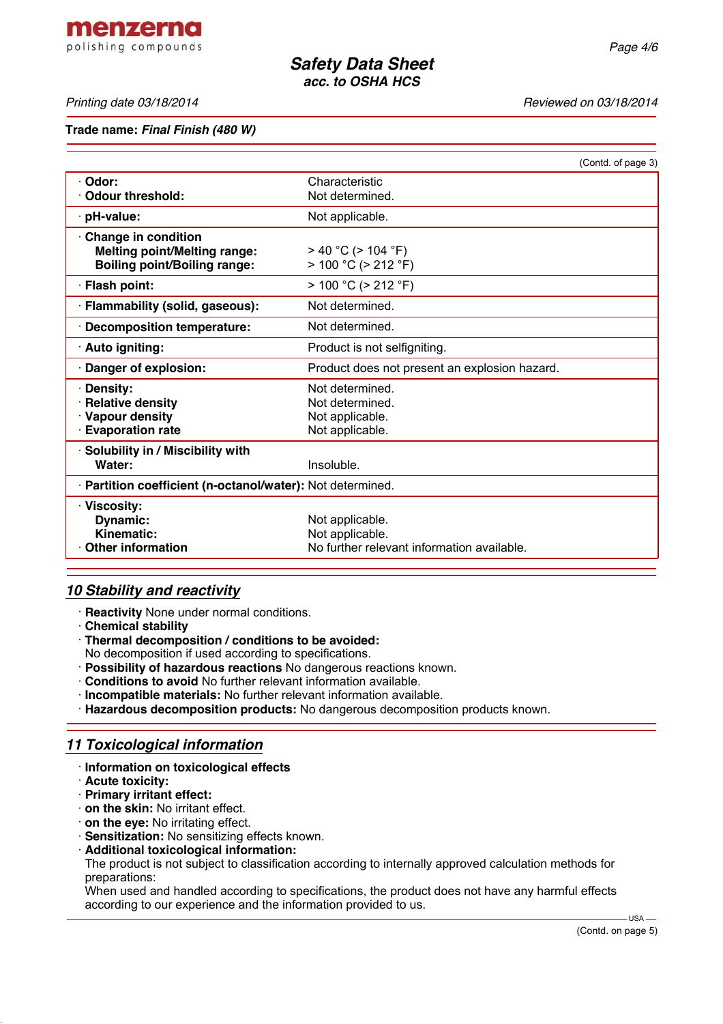menzerna polishing compounds

#### *Printing date 03/18/2014 Reviewed on 03/18/2014*

#### **Trade name:** *Final Finish (480 W)*

|                                                                                                          |                                                      | (Contd. of page 3) |
|----------------------------------------------------------------------------------------------------------|------------------------------------------------------|--------------------|
| · Odor:<br><b>Odour threshold:</b>                                                                       | Characteristic<br>Not determined.                    |                    |
|                                                                                                          |                                                      |                    |
| pH-value:                                                                                                | Not applicable.                                      |                    |
| <b>Change in condition</b><br><b>Melting point/Melting range:</b><br><b>Boiling point/Boiling range:</b> | $>$ 40 °C ( $>$ 104 °F)<br>$> 100 °C$ ( $> 212 °F$ ) |                    |
| · Flash point:                                                                                           | $> 100 °C$ ( $> 212 °F$ )                            |                    |
| · Flammability (solid, gaseous):                                                                         | Not determined.                                      |                    |
| · Decomposition temperature:                                                                             | Not determined.                                      |                    |
| · Auto igniting:                                                                                         | Product is not selfigniting.                         |                    |
| Danger of explosion:                                                                                     | Product does not present an explosion hazard.        |                    |
| <b>Density:</b>                                                                                          | Not determined.                                      |                    |
| · Relative density                                                                                       | Not determined.                                      |                    |
| · Vapour density                                                                                         | Not applicable.                                      |                    |
| <b>Evaporation rate</b>                                                                                  | Not applicable.                                      |                    |
| · Solubility in / Miscibility with                                                                       |                                                      |                    |
| Water:                                                                                                   | Insoluble.                                           |                    |
| · Partition coefficient (n-octanol/water): Not determined.                                               |                                                      |                    |
| · Viscosity:                                                                                             |                                                      |                    |
| Dynamic:                                                                                                 | Not applicable.                                      |                    |
| Kinematic:                                                                                               | Not applicable.                                      |                    |
| <b>Other information</b>                                                                                 | No further relevant information available.           |                    |

### *10 Stability and reactivity*

- · **Reactivity** None under normal conditions.
- · **Chemical stability**
- · **Thermal decomposition / conditions to be avoided:**
- No decomposition if used according to specifications.
- · **Possibility of hazardous reactions** No dangerous reactions known.
- · **Conditions to avoid** No further relevant information available.
- · **Incompatible materials:** No further relevant information available.
- · **Hazardous decomposition products:** No dangerous decomposition products known.

## *11 Toxicological information*

- · **Information on toxicological effects**
- · **Acute toxicity:**
- · **Primary irritant effect:**
- · **on the skin:** No irritant effect.
- · **on the eye:** No irritating effect.
- · **Sensitization:** No sensitizing effects known.
- · **Additional toxicological information:**

The product is not subject to classification according to internally approved calculation methods for preparations:

When used and handled according to specifications, the product does not have any harmful effects according to our experience and the information provided to us.

 $-$  USA  $-$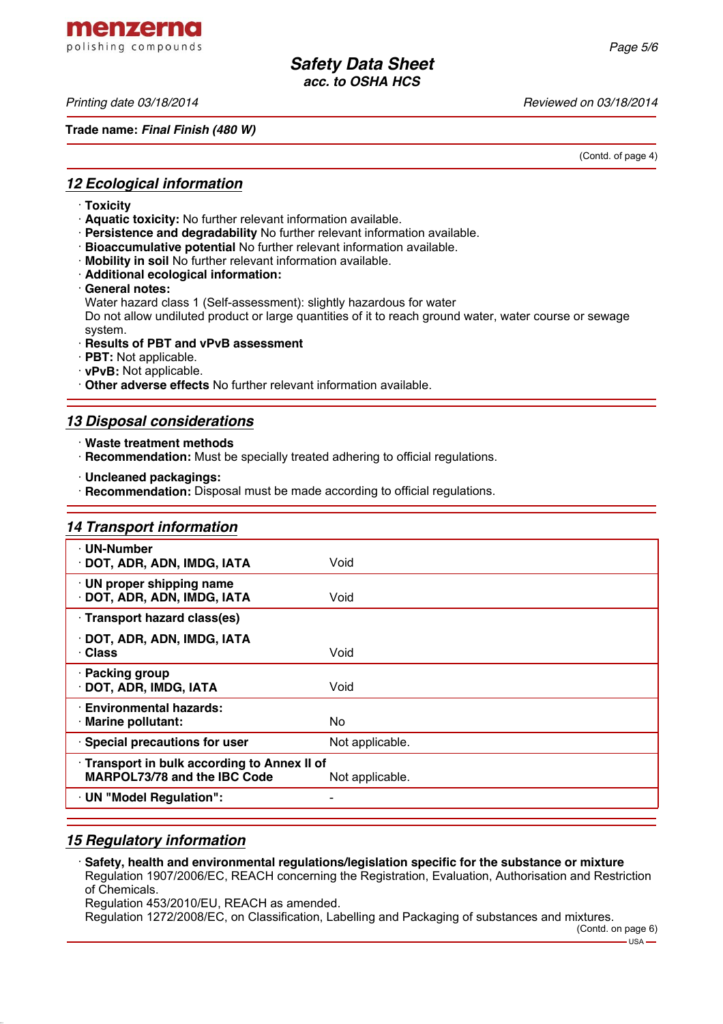menzerna polishing compounds

*Printing date 03/18/2014 Reviewed on 03/18/2014*

**Trade name:** *Final Finish (480 W)*

(Contd. of page 4)

## *12 Ecological information*

- · **Toxicity**
- · **Aquatic toxicity:** No further relevant information available.
- · **Persistence and degradability** No further relevant information available.
- · **Bioaccumulative potential** No further relevant information available.
- · **Mobility in soil** No further relevant information available.
- · **Additional ecological information:**
- · **General notes:**
- Water hazard class 1 (Self-assessment): slightly hazardous for water

Do not allow undiluted product or large quantities of it to reach ground water, water course or sewage system.

- · **Results of PBT and vPvB assessment**
- · **PBT:** Not applicable.
- · **vPvB:** Not applicable.
- · **Other adverse effects** No further relevant information available.

# *13 Disposal considerations*

- · **Waste treatment methods**
- · **Recommendation:** Must be specially treated adhering to official regulations.
- · **Uncleaned packagings:**
- · **Recommendation:** Disposal must be made according to official regulations.

| <b>14 Transport information</b>                                                   |                 |
|-----------------------------------------------------------------------------------|-----------------|
| · UN-Number<br>· DOT, ADR, ADN, IMDG, IATA                                        | Void            |
| · UN proper shipping name<br>DOT, ADR, ADN, IMDG, IATA                            | Void            |
| · Transport hazard class(es)                                                      |                 |
| · DOT, ADR, ADN, IMDG, IATA<br>· Class                                            | Void            |
| · Packing group<br>DOT, ADR, IMDG, IATA                                           | Void            |
| <b>Environmental hazards:</b><br>· Marine pollutant:                              | No.             |
| · Special precautions for user                                                    | Not applicable. |
| Transport in bulk according to Annex II of<br><b>MARPOL73/78 and the IBC Code</b> | Not applicable. |
| · UN "Model Regulation":                                                          |                 |

# *15 Regulatory information*

· **Safety, health and environmental regulations/legislation specific for the substance or mixture** Regulation 1907/2006/EC, REACH concerning the Registration, Evaluation, Authorisation and Restriction of Chemicals.

Regulation 453/2010/EU, REACH as amended.

Regulation 1272/2008/EC, on Classification, Labelling and Packaging of substances and mixtures.